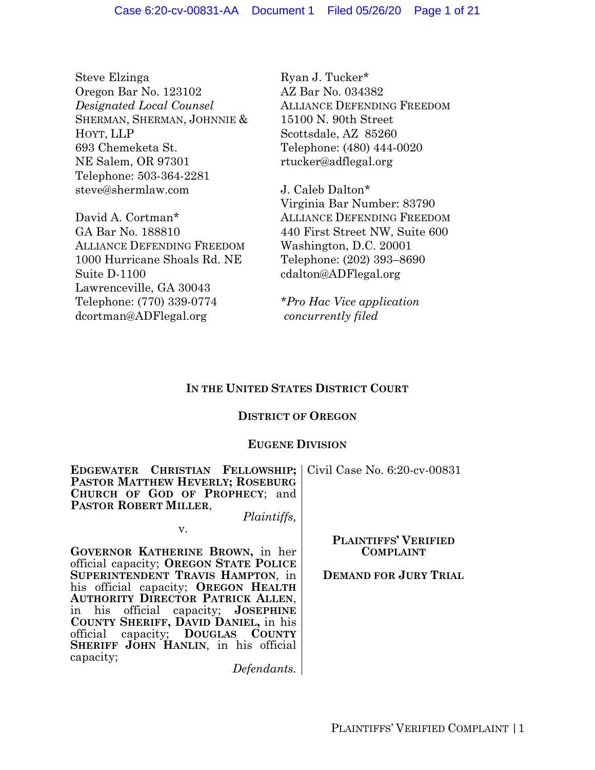Steve Elzinga Oregon Bar No. 123102 *Designated Local Counsel* SHERMAN, SHERMAN, JOHNNIE & HOYT, LLP 693 Chemeketa St. NE Salem, OR 97301 Telephone: 503-364-2281 steve@shermlaw.com

David A. Cortman\* GA Bar No. 188810 ALLIANCE DEFENDING FREEDOM 1000 Hurricane Shoals Rd. NE Suite D-1100 Lawrenceville, GA 30043 Telephone: (770) 339-0774 dcortman@ADFlegal.org

**COUNTY SHERIFF, DAVID DANIEL,** in his official capacity; **DOUGLAS COUNTY SHERIFF JOHN HANLIN**, in his official

capacity;

Ryan J. Tucker\* AZ Bar No. 034382 ALLIANCE DEFENDING FREEDOM 15100 N. 90th Street Scottsdale, AZ 85260 Telephone: (480) 444-0020 rtucker@adflegal.org

J. Caleb Dalton\* Virginia Bar Number: 83790 ALLIANCE DEFENDING FREEDOM 440 First Street NW, Suite 600 Washington, D.C. 20001 Telephone: (202) 393–8690 cdalton@ADFlegal.org

*\*Pro Hac Vice application concurrently filed*

# **IN THE UNITED STATES DISTRICT COURT**

# **DISTRICT OF OREGON**

# **EUGENE DIVISION**

| <b>EDGEWATER CHRISTIAN FELLOWSHIP;</b> Civil Case No. 6:20-cv-00831<br>PASTOR MATTHEW HEVERLY; ROSEBURG<br>CHURCH OF GOD OF PROPHECY; and<br><b>PASTOR ROBERT MILLER,</b> |                              |
|---------------------------------------------------------------------------------------------------------------------------------------------------------------------------|------------------------------|
| <i>Plaintiffs,</i>                                                                                                                                                        |                              |
| V.                                                                                                                                                                        |                              |
|                                                                                                                                                                           | <b>PLAINTIFFS' VERIFIED</b>  |
| GOVERNOR KATHERINE BROWN, in her                                                                                                                                          | <b>COMPLAINT</b>             |
| official capacity; OREGON STATE POLICE                                                                                                                                    |                              |
| SUPERINTENDENT TRAVIS HAMPTON, in                                                                                                                                         | <b>DEMAND FOR JURY TRIAL</b> |
| his official capacity; OREGON HEALTH                                                                                                                                      |                              |
| <b>AUTHORITY DIRECTOR PATRICK ALLEN,</b>                                                                                                                                  |                              |
| in his official capacity; <b>JOSEPHINE</b>                                                                                                                                |                              |

*Defendants.*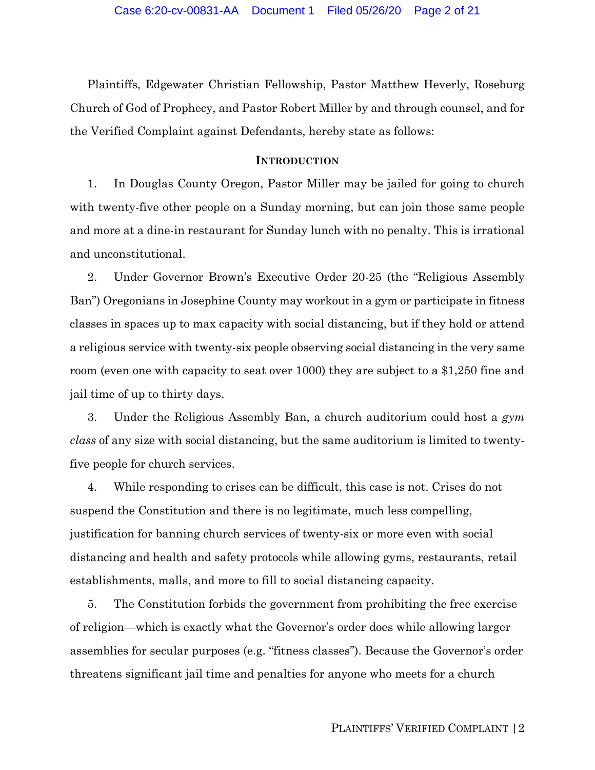Plaintiffs, Edgewater Christian Fellowship, Pastor Matthew Heverly, Roseburg Church of God of Prophecy, and Pastor Robert Miller by and through counsel, and for the Verified Complaint against Defendants, hereby state as follows:

#### **INTRODUCTION**

1. In Douglas County Oregon, Pastor Miller may be jailed for going to church with twenty-five other people on a Sunday morning, but can join those same people and more at a dine-in restaurant for Sunday lunch with no penalty. This is irrational and unconstitutional.

2. Under Governor Brown's Executive Order 20-25 (the "Religious Assembly Ban") Oregonians in Josephine County may workout in a gym or participate in fitness classes in spaces up to max capacity with social distancing, but if they hold or attend a religious service with twenty-six people observing social distancing in the very same room (even one with capacity to seat over 1000) they are subject to a \$1,250 fine and jail time of up to thirty days.

3. Under the Religious Assembly Ban, a church auditorium could host a *gym class* of any size with social distancing, but the same auditorium is limited to twentyfive people for church services.

4. While responding to crises can be difficult, this case is not. Crises do not suspend the Constitution and there is no legitimate, much less compelling, justification for banning church services of twenty-six or more even with social distancing and health and safety protocols while allowing gyms, restaurants, retail establishments, malls, and more to fill to social distancing capacity.

5. The Constitution forbids the government from prohibiting the free exercise of religion—which is exactly what the Governor's order does while allowing larger assemblies for secular purposes (e.g. "fitness classes"). Because the Governor's order threatens significant jail time and penalties for anyone who meets for a church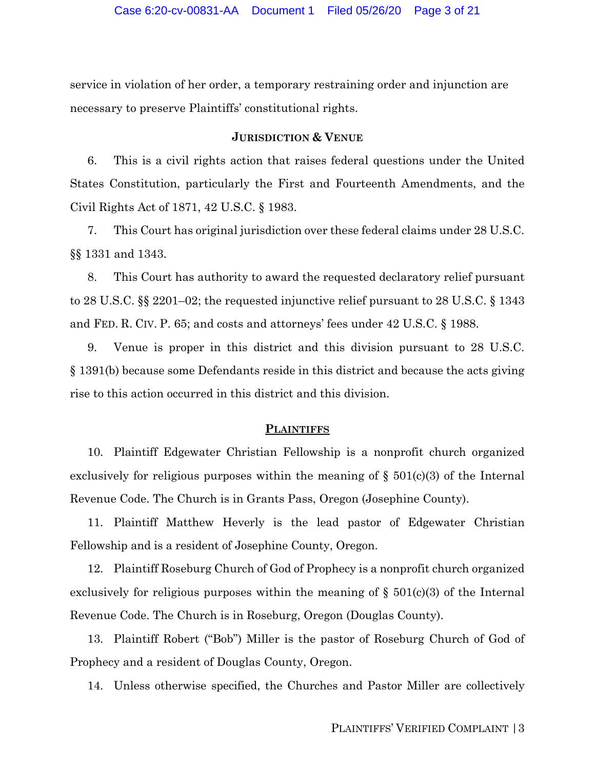service in violation of her order, a temporary restraining order and injunction are necessary to preserve Plaintiffs' constitutional rights.

#### **JURISDICTION & VENUE**

6. This is a civil rights action that raises federal questions under the United States Constitution, particularly the First and Fourteenth Amendments, and the Civil Rights Act of 1871, 42 U.S.C. § 1983.

7. This Court has original jurisdiction over these federal claims under 28 U.S.C. §§ 1331 and 1343.

8. This Court has authority to award the requested declaratory relief pursuant to 28 U.S.C. §§ 2201–02; the requested injunctive relief pursuant to 28 U.S.C. § 1343 and FED. R. CIV. P. 65; and costs and attorneys' fees under 42 U.S.C. § 1988.

9. Venue is proper in this district and this division pursuant to 28 U.S.C. § 1391(b) because some Defendants reside in this district and because the acts giving rise to this action occurred in this district and this division.

#### **PLAINTIFFS**

10. Plaintiff Edgewater Christian Fellowship is a nonprofit church organized exclusively for religious purposes within the meaning of  $\S$  501(c)(3) of the Internal Revenue Code. The Church is in Grants Pass, Oregon (Josephine County).

11. Plaintiff Matthew Heverly is the lead pastor of Edgewater Christian Fellowship and is a resident of Josephine County, Oregon.

12. Plaintiff Roseburg Church of God of Prophecy is a nonprofit church organized exclusively for religious purposes within the meaning of  $\S$  501(c)(3) of the Internal Revenue Code. The Church is in Roseburg, Oregon (Douglas County).

13. Plaintiff Robert ("Bob") Miller is the pastor of Roseburg Church of God of Prophecy and a resident of Douglas County, Oregon.

14. Unless otherwise specified, the Churches and Pastor Miller are collectively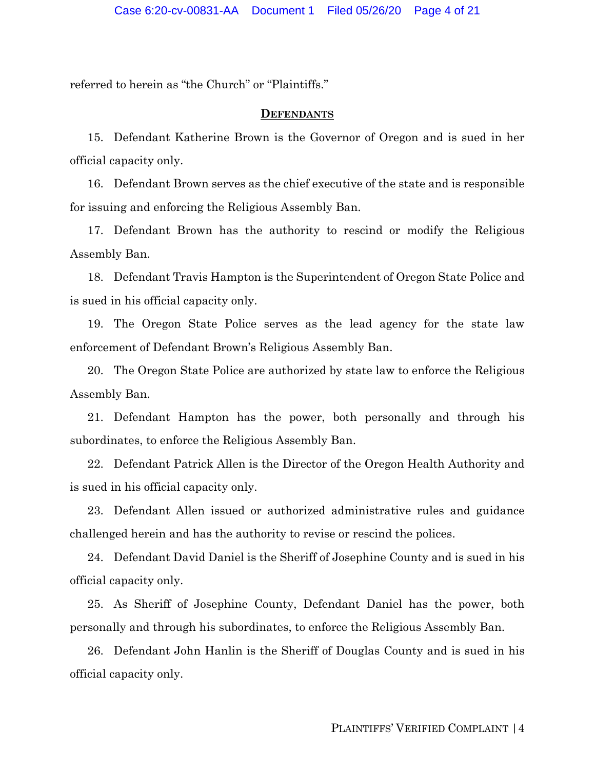referred to herein as "the Church" or "Plaintiffs."

#### **DEFENDANTS**

15. Defendant Katherine Brown is the Governor of Oregon and is sued in her official capacity only.

16. Defendant Brown serves as the chief executive of the state and is responsible for issuing and enforcing the Religious Assembly Ban.

17. Defendant Brown has the authority to rescind or modify the Religious Assembly Ban.

18. Defendant Travis Hampton is the Superintendent of Oregon State Police and is sued in his official capacity only.

19. The Oregon State Police serves as the lead agency for the state law enforcement of Defendant Brown's Religious Assembly Ban.

20. The Oregon State Police are authorized by state law to enforce the Religious Assembly Ban.

21. Defendant Hampton has the power, both personally and through his subordinates, to enforce the Religious Assembly Ban.

22. Defendant Patrick Allen is the Director of the Oregon Health Authority and is sued in his official capacity only.

23. Defendant Allen issued or authorized administrative rules and guidance challenged herein and has the authority to revise or rescind the polices.

24. Defendant David Daniel is the Sheriff of Josephine County and is sued in his official capacity only.

25. As Sheriff of Josephine County, Defendant Daniel has the power, both personally and through his subordinates, to enforce the Religious Assembly Ban.

26. Defendant John Hanlin is the Sheriff of Douglas County and is sued in his official capacity only.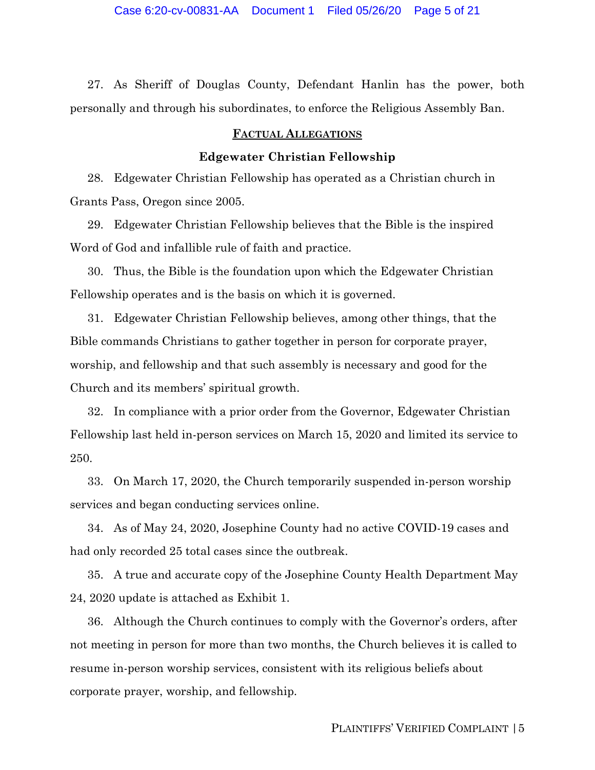27. As Sheriff of Douglas County, Defendant Hanlin has the power, both personally and through his subordinates, to enforce the Religious Assembly Ban.

## **FACTUAL ALLEGATIONS**

## **Edgewater Christian Fellowship**

28. Edgewater Christian Fellowship has operated as a Christian church in Grants Pass, Oregon since 2005.

29. Edgewater Christian Fellowship believes that the Bible is the inspired Word of God and infallible rule of faith and practice.

30. Thus, the Bible is the foundation upon which the Edgewater Christian Fellowship operates and is the basis on which it is governed.

31. Edgewater Christian Fellowship believes, among other things, that the Bible commands Christians to gather together in person for corporate prayer, worship, and fellowship and that such assembly is necessary and good for the Church and its members' spiritual growth.

32. In compliance with a prior order from the Governor, Edgewater Christian Fellowship last held in-person services on March 15, 2020 and limited its service to 250.

33. On March 17, 2020, the Church temporarily suspended in-person worship services and began conducting services online.

34. As of May 24, 2020, Josephine County had no active COVID-19 cases and had only recorded 25 total cases since the outbreak.

35. A true and accurate copy of the Josephine County Health Department May 24, 2020 update is attached as Exhibit 1.

36. Although the Church continues to comply with the Governor's orders, after not meeting in person for more than two months, the Church believes it is called to resume in-person worship services, consistent with its religious beliefs about corporate prayer, worship, and fellowship.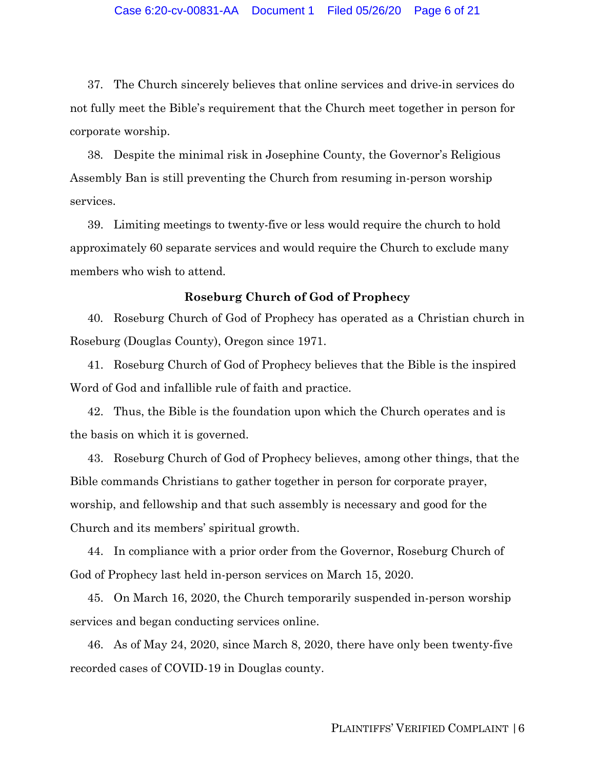37. The Church sincerely believes that online services and drive-in services do not fully meet the Bible's requirement that the Church meet together in person for corporate worship.

38. Despite the minimal risk in Josephine County, the Governor's Religious Assembly Ban is still preventing the Church from resuming in-person worship services.

39. Limiting meetings to twenty-five or less would require the church to hold approximately 60 separate services and would require the Church to exclude many members who wish to attend.

### **Roseburg Church of God of Prophecy**

40. Roseburg Church of God of Prophecy has operated as a Christian church in Roseburg (Douglas County), Oregon since 1971.

41. Roseburg Church of God of Prophecy believes that the Bible is the inspired Word of God and infallible rule of faith and practice.

42. Thus, the Bible is the foundation upon which the Church operates and is the basis on which it is governed.

43. Roseburg Church of God of Prophecy believes, among other things, that the Bible commands Christians to gather together in person for corporate prayer, worship, and fellowship and that such assembly is necessary and good for the Church and its members' spiritual growth.

44. In compliance with a prior order from the Governor, Roseburg Church of God of Prophecy last held in-person services on March 15, 2020.

45. On March 16, 2020, the Church temporarily suspended in-person worship services and began conducting services online.

46. As of May 24, 2020, since March 8, 2020, there have only been twenty-five recorded cases of COVID-19 in Douglas county.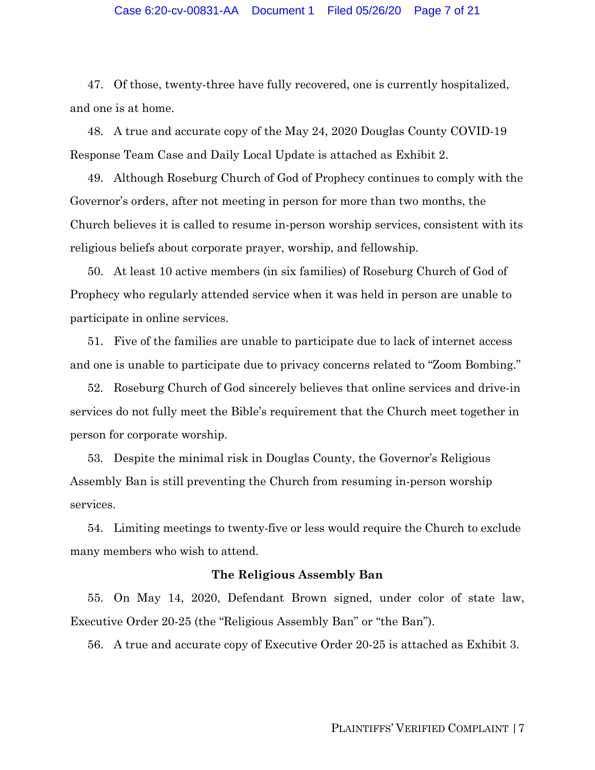## Case 6:20-cv-00831-AA Document 1 Filed 05/26/20 Page 7 of 21

47. Of those, twenty-three have fully recovered, one is currently hospitalized, and one is at home.

48. A true and accurate copy of the May 24, 2020 Douglas County COVID-19 Response Team Case and Daily Local Update is attached as Exhibit 2.

49. Although Roseburg Church of God of Prophecy continues to comply with the Governor's orders, after not meeting in person for more than two months, the Church believes it is called to resume in-person worship services, consistent with its religious beliefs about corporate prayer, worship, and fellowship.

50. At least 10 active members (in six families) of Roseburg Church of God of Prophecy who regularly attended service when it was held in person are unable to participate in online services.

51. Five of the families are unable to participate due to lack of internet access and one is unable to participate due to privacy concerns related to "Zoom Bombing."

52. Roseburg Church of God sincerely believes that online services and drive-in services do not fully meet the Bible's requirement that the Church meet together in person for corporate worship.

53. Despite the minimal risk in Douglas County, the Governor's Religious Assembly Ban is still preventing the Church from resuming in-person worship services.

54. Limiting meetings to twenty-five or less would require the Church to exclude many members who wish to attend.

#### **The Religious Assembly Ban**

55. On May 14, 2020, Defendant Brown signed, under color of state law, Executive Order 20-25 (the "Religious Assembly Ban" or "the Ban").

56. A true and accurate copy of Executive Order 20-25 is attached as Exhibit 3.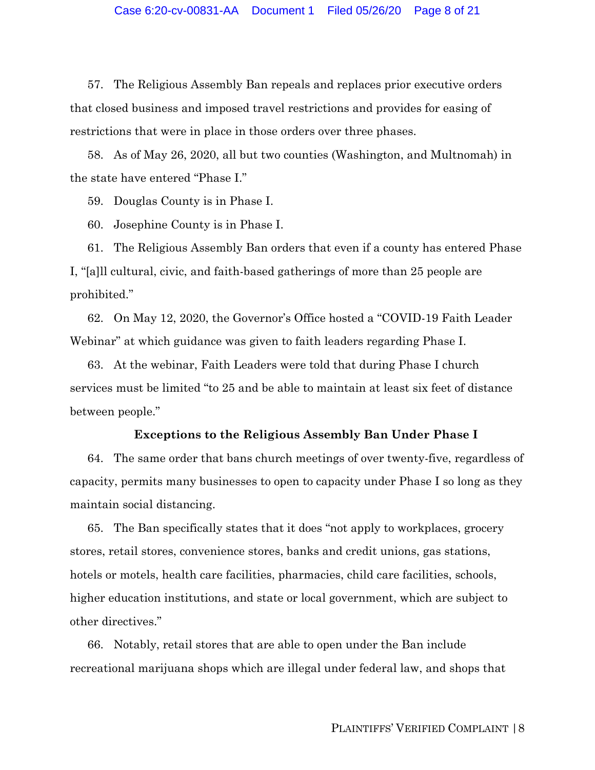57. The Religious Assembly Ban repeals and replaces prior executive orders that closed business and imposed travel restrictions and provides for easing of restrictions that were in place in those orders over three phases.

58. As of May 26, 2020, all but two counties (Washington, and Multnomah) in the state have entered "Phase I."

59. Douglas County is in Phase I.

60. Josephine County is in Phase I.

61. The Religious Assembly Ban orders that even if a county has entered Phase I, "[a]ll cultural, civic, and faith-based gatherings of more than 25 people are prohibited."

62. On May 12, 2020, the Governor's Office hosted a "COVID-19 Faith Leader Webinar" at which guidance was given to faith leaders regarding Phase I.

63. At the webinar, Faith Leaders were told that during Phase I church services must be limited "to 25 and be able to maintain at least six feet of distance between people."

#### **Exceptions to the Religious Assembly Ban Under Phase I**

64. The same order that bans church meetings of over twenty-five, regardless of capacity, permits many businesses to open to capacity under Phase I so long as they maintain social distancing.

65. The Ban specifically states that it does "not apply to workplaces, grocery stores, retail stores, convenience stores, banks and credit unions, gas stations, hotels or motels, health care facilities, pharmacies, child care facilities, schools, higher education institutions, and state or local government, which are subject to other directives."

66. Notably, retail stores that are able to open under the Ban include recreational marijuana shops which are illegal under federal law, and shops that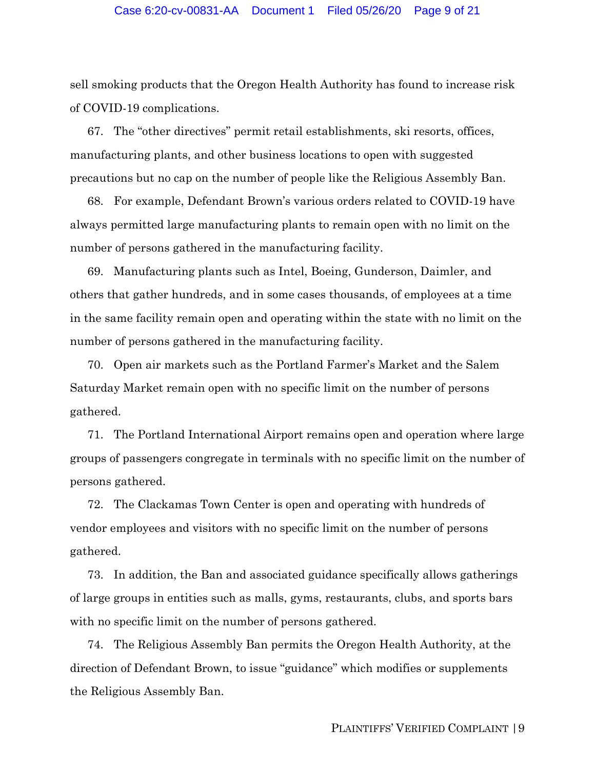sell smoking products that the Oregon Health Authority has found to increase risk of COVID-19 complications.

67. The "other directives" permit retail establishments, ski resorts, offices, manufacturing plants, and other business locations to open with suggested precautions but no cap on the number of people like the Religious Assembly Ban.

68. For example, Defendant Brown's various orders related to COVID-19 have always permitted large manufacturing plants to remain open with no limit on the number of persons gathered in the manufacturing facility.

69. Manufacturing plants such as Intel, Boeing, Gunderson, Daimler, and others that gather hundreds, and in some cases thousands, of employees at a time in the same facility remain open and operating within the state with no limit on the number of persons gathered in the manufacturing facility.

70. Open air markets such as the Portland Farmer's Market and the Salem Saturday Market remain open with no specific limit on the number of persons gathered.

71. The Portland International Airport remains open and operation where large groups of passengers congregate in terminals with no specific limit on the number of persons gathered.

72. The Clackamas Town Center is open and operating with hundreds of vendor employees and visitors with no specific limit on the number of persons gathered.

73. In addition, the Ban and associated guidance specifically allows gatherings of large groups in entities such as malls, gyms, restaurants, clubs, and sports bars with no specific limit on the number of persons gathered.

74. The Religious Assembly Ban permits the Oregon Health Authority, at the direction of Defendant Brown, to issue "guidance" which modifies or supplements the Religious Assembly Ban.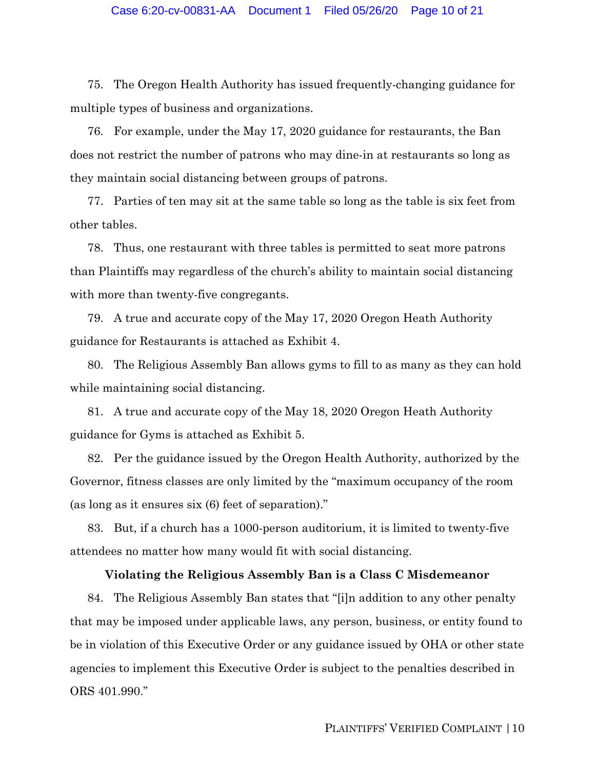75. The Oregon Health Authority has issued frequently-changing guidance for multiple types of business and organizations.

76. For example, under the May 17, 2020 guidance for restaurants, the Ban does not restrict the number of patrons who may dine-in at restaurants so long as they maintain social distancing between groups of patrons.

77. Parties of ten may sit at the same table so long as the table is six feet from other tables.

78. Thus, one restaurant with three tables is permitted to seat more patrons than Plaintiffs may regardless of the church's ability to maintain social distancing with more than twenty-five congregants.

79. A true and accurate copy of the May 17, 2020 Oregon Heath Authority guidance for Restaurants is attached as Exhibit 4.

80. The Religious Assembly Ban allows gyms to fill to as many as they can hold while maintaining social distancing.

81. A true and accurate copy of the May 18, 2020 Oregon Heath Authority guidance for Gyms is attached as Exhibit 5.

82. Per the guidance issued by the Oregon Health Authority, authorized by the Governor, fitness classes are only limited by the "maximum occupancy of the room (as long as it ensures six (6) feet of separation)."

83. But, if a church has a 1000-person auditorium, it is limited to twenty-five attendees no matter how many would fit with social distancing.

### **Violating the Religious Assembly Ban is a Class C Misdemeanor**

84. The Religious Assembly Ban states that "[i]n addition to any other penalty that may be imposed under applicable laws, any person, business, or entity found to be in violation of this Executive Order or any guidance issued by OHA or other state agencies to implement this Executive Order is subject to the penalties described in ORS 401.990."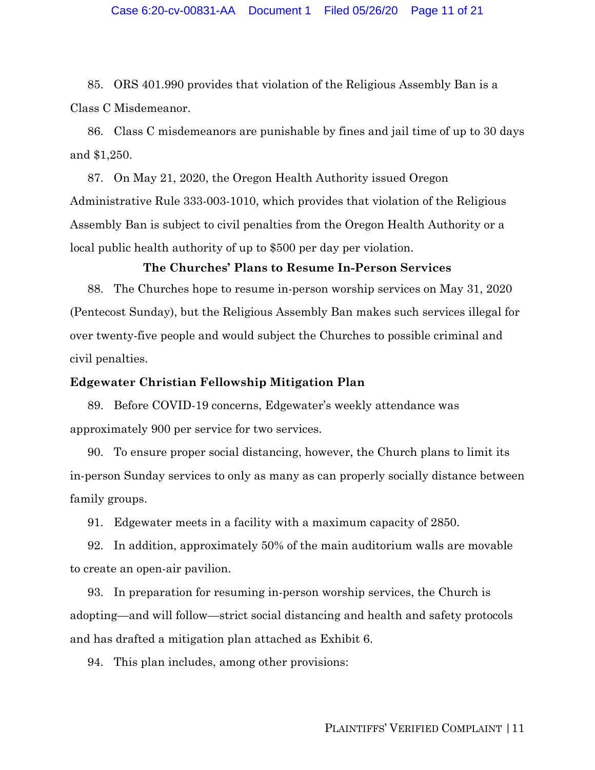### Case 6:20-cv-00831-AA Document 1 Filed 05/26/20 Page 11 of 21

85. ORS 401.990 provides that violation of the Religious Assembly Ban is a Class C Misdemeanor.

86. Class C misdemeanors are punishable by fines and jail time of up to 30 days and \$1,250.

87. On May 21, 2020, the Oregon Health Authority issued Oregon Administrative Rule 333-003-1010, which provides that violation of the Religious Assembly Ban is subject to civil penalties from the Oregon Health Authority or a local public health authority of up to \$500 per day per violation.

#### **The Churches' Plans to Resume In-Person Services**

88. The Churches hope to resume in-person worship services on May 31, 2020 (Pentecost Sunday), but the Religious Assembly Ban makes such services illegal for over twenty-five people and would subject the Churches to possible criminal and civil penalties.

#### **Edgewater Christian Fellowship Mitigation Plan**

89. Before COVID-19 concerns, Edgewater's weekly attendance was approximately 900 per service for two services.

90. To ensure proper social distancing, however, the Church plans to limit its in-person Sunday services to only as many as can properly socially distance between family groups.

91. Edgewater meets in a facility with a maximum capacity of 2850.

92. In addition, approximately 50% of the main auditorium walls are movable to create an open-air pavilion.

93. In preparation for resuming in-person worship services, the Church is adopting—and will follow—strict social distancing and health and safety protocols and has drafted a mitigation plan attached as Exhibit 6.

94. This plan includes, among other provisions: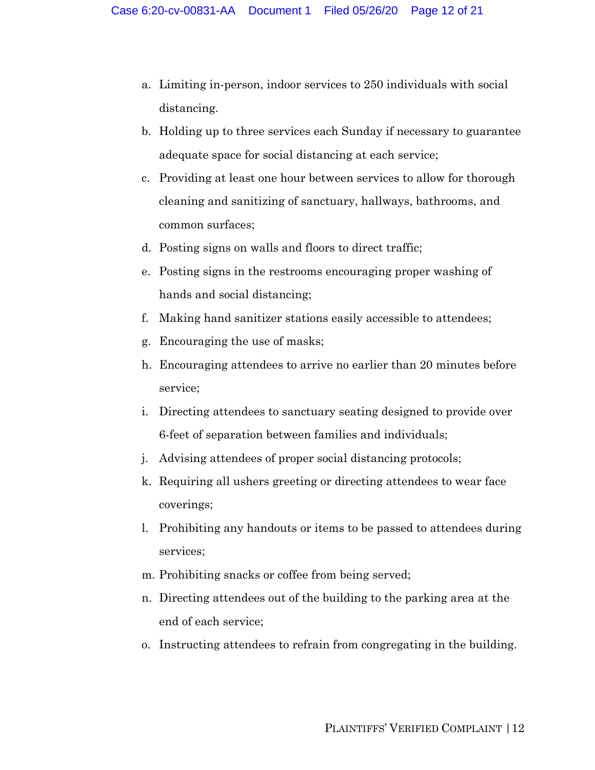- a. Limiting in-person, indoor services to 250 individuals with social distancing.
- b. Holding up to three services each Sunday if necessary to guarantee adequate space for social distancing at each service;
- c. Providing at least one hour between services to allow for thorough cleaning and sanitizing of sanctuary, hallways, bathrooms, and common surfaces;
- d. Posting signs on walls and floors to direct traffic;
- e. Posting signs in the restrooms encouraging proper washing of hands and social distancing;
- f. Making hand sanitizer stations easily accessible to attendees;
- g. Encouraging the use of masks;
- h. Encouraging attendees to arrive no earlier than 20 minutes before service;
- i. Directing attendees to sanctuary seating designed to provide over 6-feet of separation between families and individuals;
- j. Advising attendees of proper social distancing protocols;
- k. Requiring all ushers greeting or directing attendees to wear face coverings;
- l. Prohibiting any handouts or items to be passed to attendees during services;
- m. Prohibiting snacks or coffee from being served;
- n. Directing attendees out of the building to the parking area at the end of each service;
- o. Instructing attendees to refrain from congregating in the building.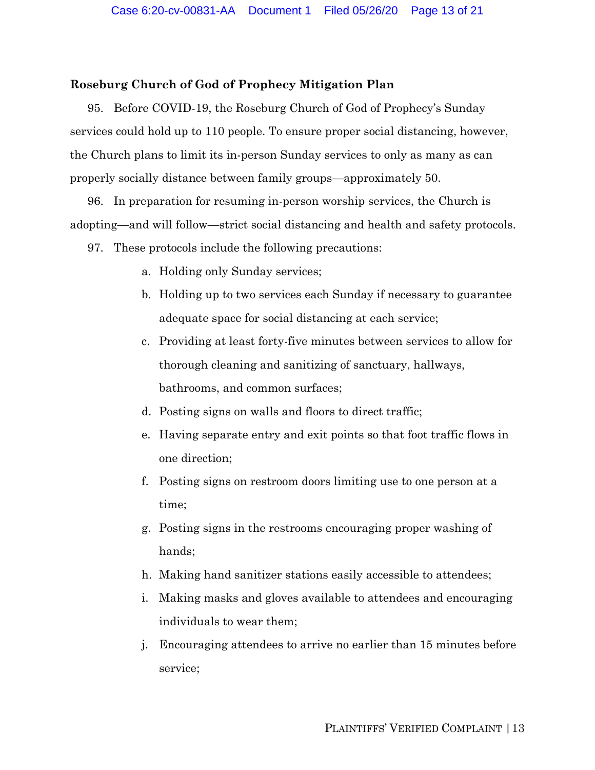## **Roseburg Church of God of Prophecy Mitigation Plan**

95. Before COVID-19, the Roseburg Church of God of Prophecy's Sunday services could hold up to 110 people. To ensure proper social distancing, however, the Church plans to limit its in-person Sunday services to only as many as can properly socially distance between family groups—approximately 50.

96. In preparation for resuming in-person worship services, the Church is adopting—and will follow—strict social distancing and health and safety protocols.

- 97. These protocols include the following precautions:
	- a. Holding only Sunday services;
	- b. Holding up to two services each Sunday if necessary to guarantee adequate space for social distancing at each service;
	- c. Providing at least forty-five minutes between services to allow for thorough cleaning and sanitizing of sanctuary, hallways, bathrooms, and common surfaces;
	- d. Posting signs on walls and floors to direct traffic;
	- e. Having separate entry and exit points so that foot traffic flows in one direction;
	- f. Posting signs on restroom doors limiting use to one person at a time;
	- g. Posting signs in the restrooms encouraging proper washing of hands;
	- h. Making hand sanitizer stations easily accessible to attendees;
	- i. Making masks and gloves available to attendees and encouraging individuals to wear them;
	- j. Encouraging attendees to arrive no earlier than 15 minutes before service;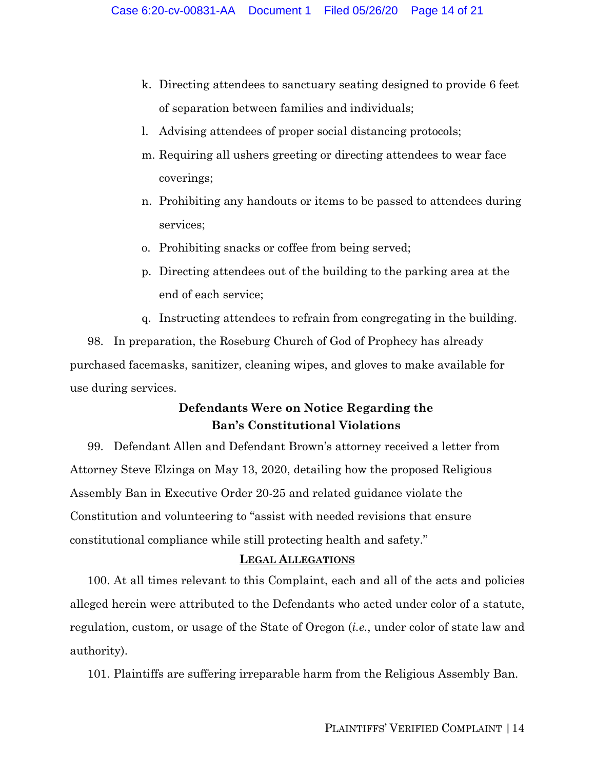- k. Directing attendees to sanctuary seating designed to provide 6 feet of separation between families and individuals;
- l. Advising attendees of proper social distancing protocols;
- m. Requiring all ushers greeting or directing attendees to wear face coverings;
- n. Prohibiting any handouts or items to be passed to attendees during services;
- o. Prohibiting snacks or coffee from being served;
- p. Directing attendees out of the building to the parking area at the end of each service;
- q. Instructing attendees to refrain from congregating in the building.

98. In preparation, the Roseburg Church of God of Prophecy has already purchased facemasks, sanitizer, cleaning wipes, and gloves to make available for use during services.

# **Defendants Were on Notice Regarding the Ban's Constitutional Violations**

99. Defendant Allen and Defendant Brown's attorney received a letter from Attorney Steve Elzinga on May 13, 2020, detailing how the proposed Religious Assembly Ban in Executive Order 20-25 and related guidance violate the Constitution and volunteering to "assist with needed revisions that ensure constitutional compliance while still protecting health and safety."

## **LEGAL ALLEGATIONS**

100. At all times relevant to this Complaint, each and all of the acts and policies alleged herein were attributed to the Defendants who acted under color of a statute, regulation, custom, or usage of the State of Oregon (*i.e.*, under color of state law and authority).

101. Plaintiffs are suffering irreparable harm from the Religious Assembly Ban.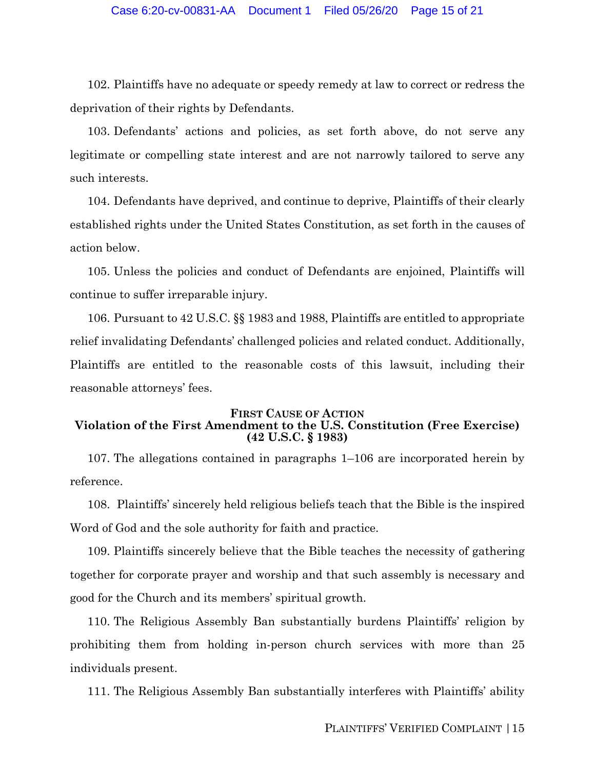102. Plaintiffs have no adequate or speedy remedy at law to correct or redress the deprivation of their rights by Defendants.

103. Defendants' actions and policies, as set forth above, do not serve any legitimate or compelling state interest and are not narrowly tailored to serve any such interests.

104. Defendants have deprived, and continue to deprive, Plaintiffs of their clearly established rights under the United States Constitution, as set forth in the causes of action below.

105. Unless the policies and conduct of Defendants are enjoined, Plaintiffs will continue to suffer irreparable injury.

106. Pursuant to 42 U.S.C. §§ 1983 and 1988, Plaintiffs are entitled to appropriate relief invalidating Defendants' challenged policies and related conduct. Additionally, Plaintiffs are entitled to the reasonable costs of this lawsuit, including their reasonable attorneys' fees.

#### **FIRST CAUSE OF ACTION Violation of the First Amendment to the U.S. Constitution (Free Exercise) (42 U.S.C. § 1983)**

107. The allegations contained in paragraphs 1–106 are incorporated herein by reference.

108. Plaintiffs' sincerely held religious beliefs teach that the Bible is the inspired Word of God and the sole authority for faith and practice.

109. Plaintiffs sincerely believe that the Bible teaches the necessity of gathering together for corporate prayer and worship and that such assembly is necessary and good for the Church and its members' spiritual growth.

110. The Religious Assembly Ban substantially burdens Plaintiffs' religion by prohibiting them from holding in-person church services with more than 25 individuals present.

111. The Religious Assembly Ban substantially interferes with Plaintiffs' ability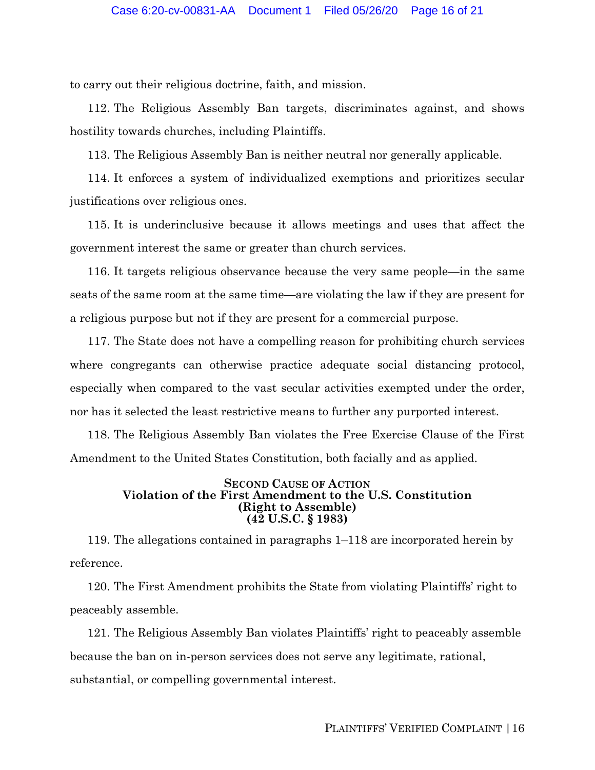to carry out their religious doctrine, faith, and mission.

112. The Religious Assembly Ban targets, discriminates against, and shows hostility towards churches, including Plaintiffs.

113. The Religious Assembly Ban is neither neutral nor generally applicable.

114. It enforces a system of individualized exemptions and prioritizes secular justifications over religious ones.

115. It is underinclusive because it allows meetings and uses that affect the government interest the same or greater than church services.

116. It targets religious observance because the very same people—in the same seats of the same room at the same time—are violating the law if they are present for a religious purpose but not if they are present for a commercial purpose.

117. The State does not have a compelling reason for prohibiting church services where congregants can otherwise practice adequate social distancing protocol, especially when compared to the vast secular activities exempted under the order, nor has it selected the least restrictive means to further any purported interest.

118. The Religious Assembly Ban violates the Free Exercise Clause of the First Amendment to the United States Constitution, both facially and as applied.

#### **SECOND CAUSE OF ACTION Violation of the First Amendment to the U.S. Constitution (Right to Assemble) (42 U.S.C. § 1983)**

119. The allegations contained in paragraphs 1–118 are incorporated herein by reference.

120. The First Amendment prohibits the State from violating Plaintiffs' right to peaceably assemble.

121. The Religious Assembly Ban violates Plaintiffs' right to peaceably assemble because the ban on in-person services does not serve any legitimate, rational, substantial, or compelling governmental interest.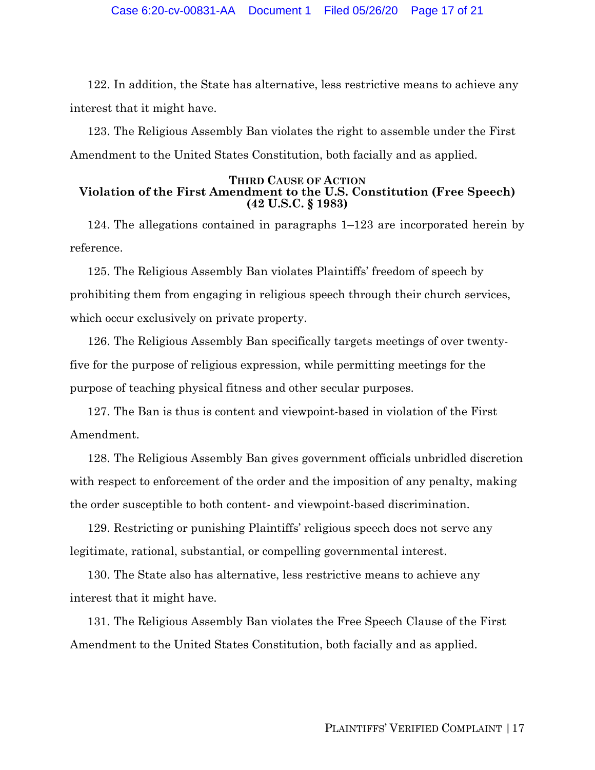122. In addition, the State has alternative, less restrictive means to achieve any interest that it might have.

123. The Religious Assembly Ban violates the right to assemble under the First Amendment to the United States Constitution, both facially and as applied.

#### **THIRD CAUSE OF ACTION Violation of the First Amendment to the U.S. Constitution (Free Speech) (42 U.S.C. § 1983)**

124. The allegations contained in paragraphs 1–123 are incorporated herein by reference.

125. The Religious Assembly Ban violates Plaintiffs' freedom of speech by prohibiting them from engaging in religious speech through their church services, which occur exclusively on private property.

126. The Religious Assembly Ban specifically targets meetings of over twentyfive for the purpose of religious expression, while permitting meetings for the purpose of teaching physical fitness and other secular purposes.

127. The Ban is thus is content and viewpoint-based in violation of the First Amendment.

128. The Religious Assembly Ban gives government officials unbridled discretion with respect to enforcement of the order and the imposition of any penalty, making the order susceptible to both content- and viewpoint-based discrimination.

129. Restricting or punishing Plaintiffs' religious speech does not serve any legitimate, rational, substantial, or compelling governmental interest.

130. The State also has alternative, less restrictive means to achieve any interest that it might have.

131. The Religious Assembly Ban violates the Free Speech Clause of the First Amendment to the United States Constitution, both facially and as applied.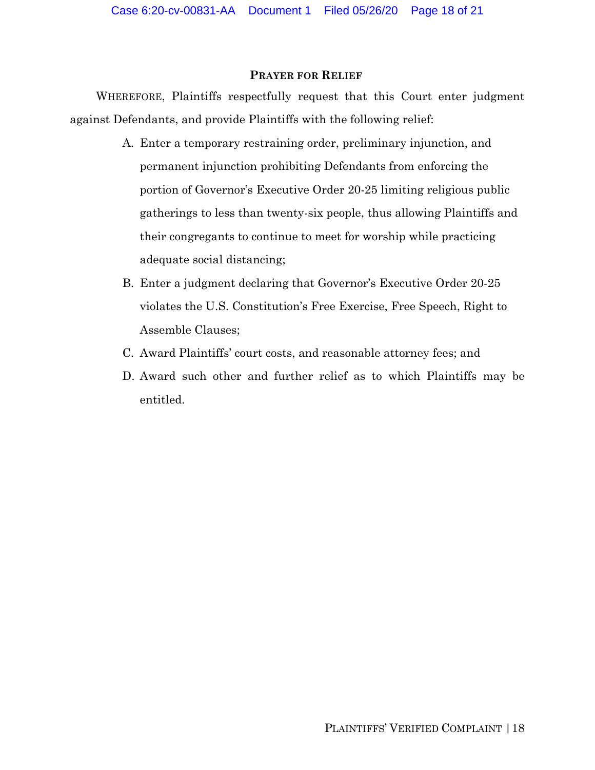## **PRAYER FOR RELIEF**

WHEREFORE, Plaintiffs respectfully request that this Court enter judgment against Defendants, and provide Plaintiffs with the following relief:

- A. Enter a temporary restraining order, preliminary injunction, and permanent injunction prohibiting Defendants from enforcing the portion of Governor's Executive Order 20-25 limiting religious public gatherings to less than twenty-six people, thus allowing Plaintiffs and their congregants to continue to meet for worship while practicing adequate social distancing;
- B. Enter a judgment declaring that Governor's Executive Order 20-25 violates the U.S. Constitution's Free Exercise, Free Speech, Right to Assemble Clauses;
- C. Award Plaintiffs' court costs, and reasonable attorney fees; and
- D. Award such other and further relief as to which Plaintiffs may be entitled.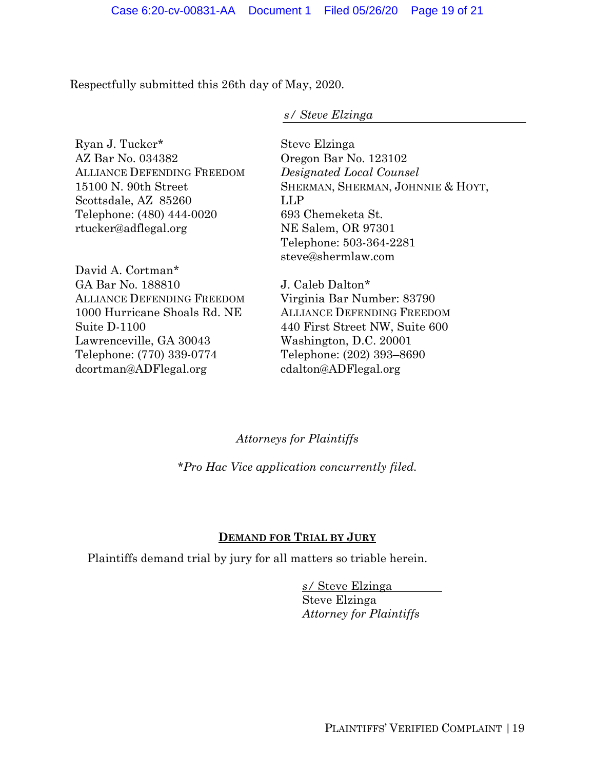Respectfully submitted this 26th day of May, 2020.

## *s/ Steve Elzinga*

Ryan J. Tucker\* AZ Bar No. 034382 ALLIANCE DEFENDING FREEDOM 15100 N. 90th Street Scottsdale, AZ 85260 Telephone: (480) 444-0020 rtucker@adflegal.org

David A. Cortman\* GA Bar No. 188810 ALLIANCE DEFENDING FREEDOM 1000 Hurricane Shoals Rd. NE Suite D-1100 Lawrenceville, GA 30043 Telephone: (770) 339-0774 dcortman@ADFlegal.org

Steve Elzinga Oregon Bar No. 123102 *Designated Local Counsel* SHERMAN, SHERMAN, JOHNNIE & HOYT, LLP 693 Chemeketa St. NE Salem, OR 97301 Telephone: 503-364-2281 steve@shermlaw.com

J. Caleb Dalton\* Virginia Bar Number: 83790 ALLIANCE DEFENDING FREEDOM 440 First Street NW, Suite 600 Washington, D.C. 20001 Telephone: (202) 393–8690 cdalton@ADFlegal.org

## *Attorneys for Plaintiffs*

*\*Pro Hac Vice application concurrently filed.* 

# **DEMAND FOR TRIAL BY JURY**

Plaintiffs demand trial by jury for all matters so triable herein.

*s/* Steve Elzinga Steve Elzinga *Attorney for Plaintiffs*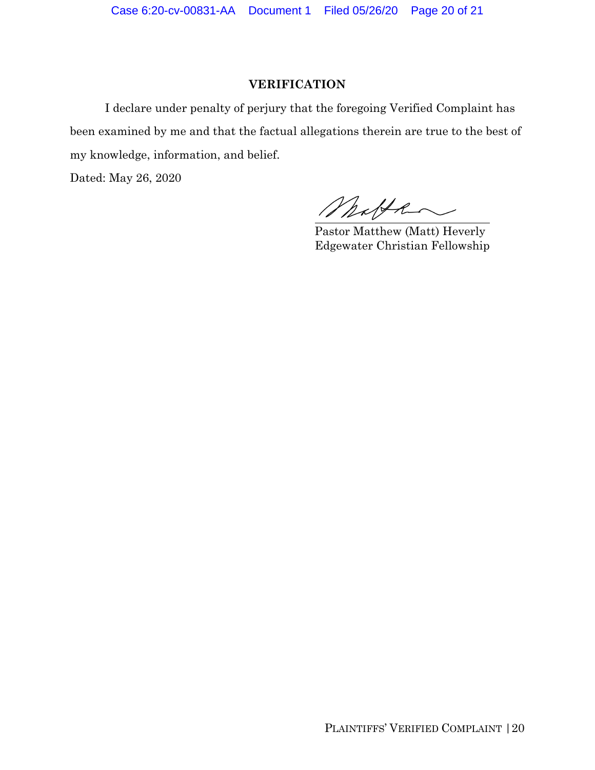Case 6:20-cv-00831-AA Document 1 Filed 05/26/20 Page 20 of 21

## **VERIFICATION**

 I declare under penalty of perjury that the foregoing Verified Complaint has been examined by me and that the factual allegations therein are true to the best of my knowledge, information, and belief.

Dated: May 26, 2020

Matthe

 Pastor Matthew (Matt) Heverly Edgewater Christian Fellowship